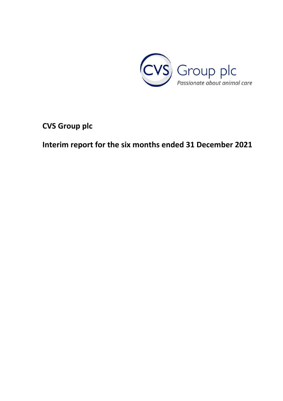

**CVS Group plc**

**Interim report for the six months ended 31 December 2021**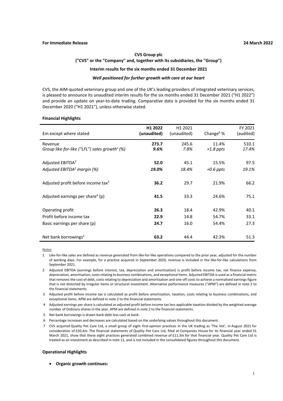# **CVS Group plc ("CVS" or the "Company" and, together with its subsidiaries, the "Group")**

## **Interim results for the six months ended 31 December 2021**

## *Well positioned for further growth with care at our heart*

CVS, the AIM-quoted veterinary group and one of the UK's leading providers of integrated veterinary services, is pleased to announce its unaudited interim results for the six months ended 31 December 2021 ("H1 2022") and provide an update on year-to-date trading. Comparative data is provided for the six months ended 31 December 2020 ("H1 2021"), unless otherwise stated.

### **Financial Highlights**

| Em except where stated                                                       | H <sub>1</sub> 2022<br>(unaudited) | H <sub>1</sub> 2021<br>(unaudited) | Change $6%$             | FY 2021<br>(audited) |
|------------------------------------------------------------------------------|------------------------------------|------------------------------------|-------------------------|----------------------|
| Revenue<br>Group like-for-like ("LFL") sales growth <sup>1</sup> (%)         | 273.7<br>9.6%                      | 245.6<br>7.8%                      | 11.4%<br>$+1.8$ ppts    | 510.1<br>17.4%       |
| Adjusted EBITDA <sup>2</sup><br>Adjusted EBITDA <sup>2</sup> margin (%)      | 52.0<br>19.0%                      | 45.1<br>18.4%                      | 15.5%<br>$+0.6$ ppts    | 97.5<br>19.1%        |
| Adjusted profit before income tax <sup>3</sup>                               | 36.2                               | 29.7                               | 21.9%                   | 66.2                 |
| Adjusted earnings per share <sup>4</sup> (p)                                 | 41.5                               | 33.3                               | 24.6%                   | 75.1                 |
| Operating profit<br>Profit before income tax<br>Basic earnings per share (p) | 26.3<br>22.9<br>24.7               | 18.4<br>14.8<br>16.0               | 42.9%<br>54.7%<br>54.4% | 40.1<br>33.1<br>27.3 |
| Net bank borrowings <sup>5</sup>                                             | 63.2                               | 44.4                               | 42.3%                   | 51.3                 |

**Notes** 

- 1 Like-for-like sales are defined as revenue generated from like-for-like operations compared to the prior year, adjusted for the number of working days. For example, for a practice acquired in September 2020, revenue is included in the like-for-like calculations from September 2021.
- 2 Adjusted EBITDA (earnings before interest, tax, depreciation and amortisation) is profit before income tax, net finance expense, depreciation, amortisation, costs relating to business combinations, and exceptional items. Adjusted EBITDA is used as a financial metric that removes the cost of debt, costs relating to depreciation and amortisation and one-off costs to achieve a normalised earnings figure that is not distorted by irregular items or structural investment. Alternative performance measures ("APM") are defined in note 2 to the financial statements.
- 3 Adjusted profit before income tax is calculated as profit before amortisation, taxation, costs relating to business combinations, and exceptional items. APM are defined in note 2 to the financial statements.
- 4 Adjusted earnings per share is calculated as adjusted profit before income tax less applicable taxation divided by the weighted average number of Ordinary shares in the year. APM are defined in note 2 to the financial statements.
- 5 Net bank borrowings is drawn bank debt less cash at bank.
- 6 Percentage increases and decreases are calculated based on the underlying values throughout this document.
- 7 CVS acquired Quality Pet Care Ltd, a small group of eight first-opinion practices in the UK trading as 'The Vet', in August 2021 for consideration of £20.4m. The financial statements of Quality Pet Care Ltd, filed at Companies House for its financial year ended 31 March 2021, show that these eight practices generated combined revenue of £11.3m for that financial year. Quality Pet Care Ltd is treated as an investment as described in note 11, and is not included in the consolidated figures throughout this document.

### **Operational Highlights**

• **Organic growth continues:**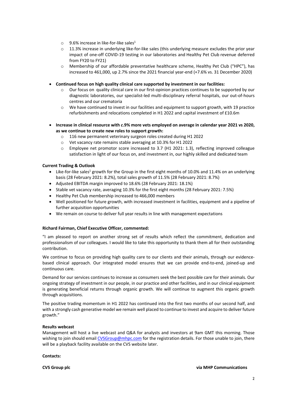- $\circ$  9.6% increase in like-for-like sales<sup>1</sup>
- $\circ$  11.3% increase in underlying like-for-like sales (this underlying measure excludes the prior year impact of one-off COVID-19 testing in our laboratories and Healthy Pet Club revenue deferred from FY20 to FY21)
- o Membership of our affordable preventative healthcare scheme, Healthy Pet Club ("HPC"), has increased to 461,000, up 2.7% since the 2021 financial year-end (+7.6% vs. 31 December 2020)
- **Continued focus on high quality clinical care supported by investment in our facilities:**
	- $\circ$  Our focus on quality clinical care in our first-opinion practices continues to be supported by our diagnostic laboratories, our specialist-led multi-disciplinary referral hospitals, our out-of-hours centres and our crematoria
	- $\circ$  We have continued to invest in our facilities and equipment to support growth, with 19 practice refurbishments and relocations completed in H1 2022 and capital investment of £10.6m
- **Increase in clinical resource with** *c.***9% more vets employed on average in calendar year 2021 vs 2020, as we continue to create new roles to support growth:**
	- o 116 new permanent veterinary surgeon roles created during H1 2022
	- o Vet vacancy rate remains stable averaging at 10.3% for H1 2022
	- $\circ$  Employee net promotor score increased to 3.7 (H1 2021: 1.3), reflecting improved colleague satisfaction in light of our focus on, and investment in, our highly skilled and dedicated team

## **Current Trading & Outlook**

- Like-for-like sales<sup>1</sup> growth for the Group in the first eight months of 10.0% and 11.4% on an underlying basis (28 February 2021: 8.2%), total sales growth of 11.5% (28 February 2021: 8.7%)
- Adjusted EBITDA margin improved to 18.6% (28 February 2021: 18.1%)
- Stable vet vacancy rate, averaging 10.3% for the first eight months (28 February 2021: 7.5%)
- Healthy Pet Club membership increased to 466,000 members
- Well positioned for future growth, with increased investment in facilities, equipment and a pipeline of further acquisition opportunities
- We remain on course to deliver full year results in line with management expectations

# **Richard Fairman, Chief Executive Officer, commented:**

"I am pleased to report on another strong set of results which reflect the commitment, dedication and professionalism of our colleagues. I would like to take this opportunity to thank them all for their outstanding contribution.

We continue to focus on providing high quality care to our clients and their animals, through our evidencebased clinical approach. Our integrated model ensures that we can provide end-to-end, joined-up and continuous care.

Demand for our services continues to increase as consumers seek the best possible care for their animals. Our ongoing strategy of investment in our people, in our practice and other facilities, and in our clinical equipment is generating beneficial returns through organic growth. We will continue to augment this organic growth through acquisitions.

The positive trading momentum in H1 2022 has continued into the first two months of our second half, and with a strongly cash generative model we remain well placed to continue to invest and acquire to deliver future growth."

### **Results webcast**

Management will host a live webcast and Q&A for analysts and investors at 9am GMT this morning. Those wishing to join should emai[l CVSGroup@mhpc.com](mailto:CVSGroup@mhpc.com) for the registration details. For those unable to join, there will be a playback facility available on the CVS website later.

### **Contacts:**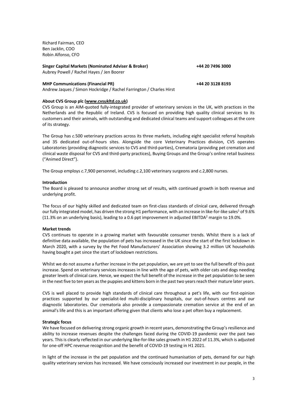Richard Fairman, CEO Ben Jacklin, COO Robin Alfonso, CFO

| Singer Capital Markets (Nominated Adviser & Broker) | +44 20 7496 3000 |
|-----------------------------------------------------|------------------|
| Aubrey Powell / Rachel Hayes / Jen Boorer           |                  |
|                                                     |                  |

## **MHP Communications (Financial PR) +44 20 3128 8193**

Andrew Jaques / Simon Hockridge / Rachel Farrington / Charles Hirst

**About CVS Group plc [\(www.cvsukltd.co.uk\)](http://www.cvsukltd.co.uk/)**

CVS Group is an AIM-quoted fully-integrated provider of veterinary services in the UK, with practices in the Netherlands and the Republic of Ireland. CVS is focused on providing high quality clinical services to its customers and their animals, with outstanding and dedicated clinical teams and support colleagues at the core of its strategy.

The Group has *c.*500 veterinary practices across its three markets, including eight specialist referral hospitals and 35 dedicated out-of-hours sites. Alongside the core Veterinary Practices division, CVS operates Laboratories (providing diagnostic services to CVS and third-parties), Crematoria (providing pet cremation and clinical waste disposal for CVS and third-party practices), Buying Groups and the Group's online retail business ("Animed Direct").

The Group employs *c.*7,900 personnel, including *c.*2,100 veterinary surgeons and *c.*2,800 nurses.

### **Introduction**

The Board is pleased to announce another strong set of results, with continued growth in both revenue and underlying profit.

The focus of our highly skilled and dedicated team on first-class standards of clinical care, delivered through our fully integrated model, has driven the strong H1 performance, with an increase in like-for-like sales<sup>1</sup> of 9.6% (11.3% on an underlying basis), leading to a 0.6 ppt improvement in adjusted EBITDA<sup>2</sup> margin to 19.0%.

## **Market trends**

CVS continues to operate in a growing market with favourable consumer trends. Whilst there is a lack of definitive data available, the population of pets has increased in the UK since the start of the first lockdown in March 2020, with a survey by the Pet Food Manufacturers' Association showing 3.2 million UK households having bought a pet since the start of lockdown restrictions.

Whilst we do not assume a further increase in the pet population, we are yet to see the full benefit of this past increase. Spend on veterinary services increases in line with the age of pets, with older cats and dogs needing greater levels of clinical care. Hence, we expect the full benefit of the increase in the pet population to be seen in the next five to ten years as the puppies and kittens born in the past two years reach their mature later years.

CVS is well placed to provide high standards of clinical care throughout a pet's life, with our first-opinion practices supported by our specialist-led multi-disciplinary hospitals, our out-of-hours centres and our diagnostic laboratories. Our crematoria also provide a compassionate cremation service at the end of an animal's life and this is an important offering given that clients who lose a pet often buy a replacement.

### **Strategic focus**

We have focused on delivering strong organic growth in recent years, demonstrating the Group's resilience and ability to increase revenues despite the challenges faced during the COVID-19 pandemic over the past two years. This is clearly reflected in our underlying like-for-like sales growth in H1 2022 of 11.3%, which is adjusted for one-off HPC revenue recognition and the benefit of COVID-19 testing in H1 2021.

In light of the increase in the pet population and the continued humanisation of pets, demand for our high quality veterinary services has increased. We have consciously increased our investment in our people, in the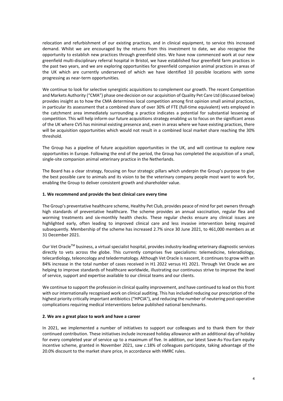relocation and refurbishment of our existing practices, and in clinical equipment, to service this increased demand. Whilst we are encouraged by the returns from this investment to date, we also recognise the opportunity to establish new practices through greenfield sites. We have now commenced work at our new greenfield multi-disciplinary referral hospital in Bristol, we have established four greenfield farm practices in the past two years, and we are exploring opportunities for greenfield companion animal practices in areas of the UK which are currently underserved of which we have identified 10 possible locations with some progressing as near-term opportunities.

We continue to look for selective synergistic acquisitions to complement our growth. The recent Competition and Markets Authority ("CMA") phase one decision on our acquisition of Quality Pet Care Ltd (discussed below) provides insight as to how the CMA determines local competition among first opinion small animal practices, in particular its assessment that a combined share of over 30% of FTE (full-time equivalent) vets employed in the catchment area immediately surrounding a practice indicates a potential for substantial lessening of competition. This will help inform our future acquisitions strategy enabling us to focus on the significant areas of the UK where CVS has minimal existing presence and, even in areas where we have existing practices, there will be acquisition opportunities which would not result in a combined local market share reaching the 30% threshold.

The Group has a pipeline of future acquisition opportunities in the UK, and will continue to explore new opportunities in Europe. Following the end of the period, the Group has completed the acquisition of a small, single-site companion animal veterinary practice in the Netherlands.

The Board has a clear strategy, focusing on four strategic pillars which underpin the Group's purpose to give the best possible care to animals and its vision to be the veterinary company people most want to work for, enabling the Group to deliver consistent growth and shareholder value.

# **1. We recommend and provide the best clinical care every time**

The Group's preventative healthcare scheme, Healthy Pet Club, provides peace of mind for pet owners through high standards of preventative healthcare. The scheme provides an annual vaccination, regular flea and worming treatments and six-monthly health checks. These regular checks ensure any clinical issues are highlighted early, often leading to improved clinical care and less invasive intervention being required subsequently. Membership of the scheme has increased 2.7% since 30 June 2021, to 461,000 members as at 31 December 2021.

Our Vet Oracle™ business, a virtual specialist hospital, provides industry-leading veterinary diagnostic services directly to vets across the globe. This currently comprises five specialisms: telemedicine, teleradiology, telecardiology, teleoncology and teledermatology. Although Vet Oracle is nascent, it continues to grow with an 84% increase in the total number of cases received in H1 2022 versus H1 2021. Through Vet Oracle we are helping to improve standards of healthcare worldwide, illustrating our continuous strive to improve the level of service, support and expertise available to our clinical teams and our clients.

We continue to support the profession in clinical quality improvement, and have continued to lead on this front with our internationally recognised work on clinical auditing. This has included reducing our prescription of the highest priority critically important antibiotics ("HPCIA"), and reducing the number of neutering post-operative complications requiring medical interventions below published national benchmarks.

### **2. We are a great place to work and have a career**

In 2021, we implemented a number of initiatives to support our colleagues and to thank them for their continued contribution. These initiatives include increased holiday allowance with an additional day of holiday for every completed year of service up to a maximum of five. In addition, our latest Save-As-You-Earn equity incentive scheme, granted in November 2021, saw *c.*18% of colleagues participate, taking advantage of the 20.0% discount to the market share price, in accordance with HMRC rules.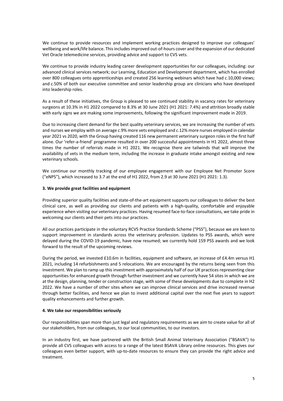We continue to provide resources and implement working practices designed to improve our colleagues' wellbeing and work/life balance. This includes improved out-of-hours cover and the expansion of our dedicated Vet Oracle telemedicine services, providing advice and support to CVS vets.

We continue to provide industry leading career development opportunities for our colleagues, including: our advanced clinical services network; our Learning, Education and Development department, which has enrolled over 800 colleagues onto apprenticeships and created 256 learning webinars which have had *c.*10,000 views; and *c.*50% of both our executive committee and senior leadership group are clinicians who have developed into leadership roles.

As a result of these initiatives, the Group is pleased to see continued stability in vacancy rates for veterinary surgeons at 10.3% in H1 2022 compared to 8.3% at 30 June 2021 (H1 2021: 7.4%) and attrition broadly stable with early signs we are making some improvements, following the significant improvement made in 2019.

Due to increasing client demand for the best quality veterinary services, we are increasing the number of vets and nurses we employ with on average *c.*9% more vets employed and *c.*12% more nurses employed in calendar year 2021 vs 2020, with the Group having created 116 new permanent veterinary surgeon roles in the first half alone. Our 'refer-a-friend' programme resulted in over 200 successful appointments in H1 2022, almost three times the number of referrals made in H1 2021. We recognise there are tailwinds that will improve the availability of vets in the medium term, including the increase in graduate intake amongst existing and new veterinary schools.

We continue our monthly tracking of our employee engagement with our Employee Net Promoter Score ("eNPS"), which increased to 3.7 at the end of H1 2022, from 2.9 at 30 June 2021 (H1 2021: 1.3).

## **3. We provide great facilities and equipment**

Providing superior quality facilities and state-of-the-art equipment supports our colleagues to deliver the best clinical care, as well as providing our clients and patients with a high-quality, comfortable and enjoyable experience when visiting our veterinary practices. Having resumed face-to-face consultations, we take pride in welcoming our clients and their pets into our practices.

All our practices participate in the voluntary RCVS Practice Standards Scheme ("PSS"), because we are keen to support improvement in standards across the veterinary profession. Updates to PSS awards, which were delayed during the COVID-19 pandemic, have now resumed; we currently hold 159 PSS awards and we look forward to the result of the upcoming reviews.

During the period, we invested £10.6m in facilities, equipment and software, an increase of £4.4m versus H1 2021, including 14 refurbishments and 5 relocations. We are encouraged by the returns being seen from this investment. We plan to ramp up this investment with approximately half of our UK practices representing clear opportunities for enhanced growth through further investment and we currently have 54 sites in which we are at the design, planning, tender or construction stage, with some of these developments due to complete in H2 2022. We have a number of other sites where we can improve clinical services and drive increased revenue through better facilities, and hence we plan to invest additional capital over the next five years to support quality enhancements and further growth.

## **4. We take our responsibilities seriously**

Our responsibilities span more than just legal and regulatory requirements as we aim to create value for all of our stakeholders, from our colleagues, to our local communities, to our investors.

In an industry first, we have partnered with the British Small Animal Veterinary Association ("BSAVA") to provide all CVS colleagues with access to a range of the latest BSAVA Library online resources. This gives our colleagues even better support, with up-to-date resources to ensure they can provide the right advice and treatment.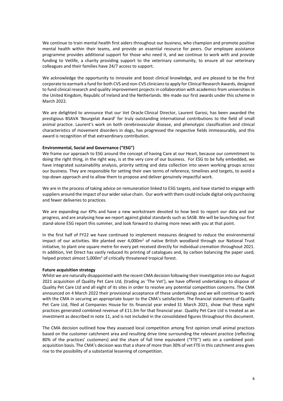We continue to train mental health first aiders throughout our business, who champion and promote positive mental health within their teams, and provide an essential resource for peers. Our employee assistance programme provides additional support for those who need it, and we continue to work with and provide funding to Vetlife, a charity providing support to the veterinary community, to ensure all our veterinary colleagues and their families have 24/7 access to support.

We acknowledge the opportunity to innovate and boost clinical knowledge, and are pleased to be the first corporate to earmark a fund for both CVS and non-CVS clinicians to apply for Clinical Research Awards, designed to fund clinical research and quality improvement projects in collaboration with academics from universities in the United Kingdom, Republic of Ireland and the Netherlands. We made our first awards under this scheme in March 2022.

We are delighted to announce that our Vet Oracle Clinical Director, Laurent Garosi, has been awarded the prestigious BSAVA 'Bourgelat Award' for truly outstanding international contributions to the field of small animal practice. Laurent's work on both cerebrovascular disease, and phenotypic classification and clinical characteristics of movement disorders in dogs, has progressed the respective fields immeasurably, and this award is recognition of that extraordinary contribution.

## **Environmental, Social and Governance ("ESG")**

We frame our approach to ESG around the concept of having Care at our Heart, because our commitment to doing the right thing, in the right way, is at the very core of our business. For ESG to be fully embedded, we have integrated sustainability analysis, priority setting and data collection into seven working groups across our business. They are responsible for setting their own terms of reference, timelines and targets, to avoid a top-down approach and to allow them to propose and deliver genuinely impactful work.

We are in the process of taking advice on remuneration linked to ESG targets, and have started to engage with suppliers around the impact of our wider value chain. Our work with them could include digital-only purchasing and fewer deliveries to practices.

We are expanding our KPIs and have a new workstream devoted to how best to report our data and our progress, and are analysing how we report against global standards such as SASB. We will be launching our first stand-alone ESG report this summer, and look forward to sharing more news with you at that point.

In the first half of FY22 we have continued to implement measures designed to reduce the environmental impact of our activities. We planted over 4,000m<sup>2</sup> of native British woodland through our National Trust initiative, to plant one square metre for every pet received directly for individual cremation throughout 2021. In addition, Vet Direct has vastly reduced its printing of catalogues and, by carbon balancing the paper used, helped protect almost 5,000m<sup>2</sup> of critically threatened tropical forest.

# **Future acquisition strategy**

Whilst we are naturally disappointed with the recent CMA decision following their investigation into our August 2021 acquisition of Quality Pet Care Ltd, (trading as 'The Vet'), we have offered undertakings to dispose of Quality Pet Care Ltd and all eight of its sites in order to resolve any potential competition concerns. The CMA announced on 4 March 2022 their provisional acceptance of these undertakings and we will continue to work with the CMA in securing an appropriate buyer to the CMA's satisfaction. The financial statements of Quality Pet Care Ltd, filed at Companies House for its financial year ended 31 March 2021, show that these eight practices generated combined revenue of £11.3m for that financial year. Quality Pet Care Ltd is treated as an investment as described in note 11, and is not included in the consolidated figures throughout this document.

The CMA decision outlined how they assessed local competition among first opinion small animal practices based on the customer catchment area and resulting drive time surrounding the relevant practice (reflecting 80% of the practices' customers) and the share of full time equivalent ("FTE") vets on a combined postacquisition basis. The CMA's decision was that a share of more than 30% of vet FTE in this catchment area gives rise to the possibility of a substantial lessening of competition.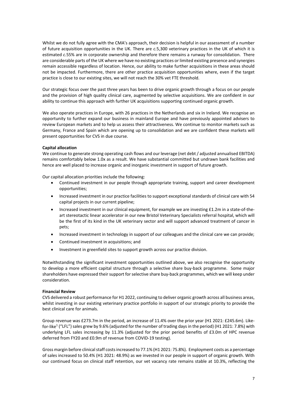Whilst we do not fully agree with the CMA's approach, their decision is helpful in our assessment of a number of future acquisition opportunities in the UK. There are *c.*5,300 veterinary practices in the UK of which it is estimated *c.*55% are in corporate ownership and therefore there remains a runway for consolidation. There are considerable parts of the UK where we have no existing practices or limited existing presence and synergies remain accessible regardless of location. Hence, our ability to make further acquisitions in these areas should not be impacted. Furthermore, there are other practice acquisition opportunities where, even if the target practice is close to our existing sites, we will not reach the 30% vet FTE threshold.

Our strategic focus over the past three years has been to drive organic growth through a focus on our people and the provision of high quality clinical care, augmented by selective acquisitions. We are confident in our ability to continue this approach with further UK acquisitions supporting continued organic growth.

We also operate practices in Europe, with 26 practices in the Netherlands and six in Ireland. We recognise an opportunity to further expand our business in mainland Europe and have previously appointed advisers to review European markets and to help us assess their attractiveness. We continue to monitor markets such as Germany, France and Spain which are opening up to consolidation and we are confident these markets will present opportunities for CVS in due course.

# **Capital allocation**

We continue to generate strong operating cash flows and our leverage (net debt / adjusted annualised EBITDA) remains comfortably below 1.0x as a result. We have substantial committed but undrawn bank facilities and hence are well placed to increase organic and inorganic investment in support of future growth.

Our capital allocation priorities include the following:

- Continued investment in our people through appropriate training, support and career development opportunities;
- Increased investment in our practice facilities to support exceptional standards of clinical care with 54 capital projects in our current pipeline;
- Increased investment in our clinical equipment, for example we are investing £1.2m in a state-of-theart stereotactic linear accelerator in our new Bristol Veterinary Specialists referral hospital, which will be the first of its kind in the UK veterinary sector and will support advanced treatment of cancer in pets;
- Increased investment in technology in support of our colleagues and the clinical care we can provide;
- Continued investment in acquisitions; and
- Investment in greenfield sites to support growth across our practice division.

Notwithstanding the significant investment opportunities outlined above, we also recognise the opportunity to develop a more efficient capital structure through a selective share buy-back programme. Some major shareholders have expressed their support for selective share buy-back programmes, which we will keep under consideration.

### **Financial Review**

CVS delivered a robust performance for H1 2022, continuing to deliver organic growth across all business areas, whilst investing in our existing veterinary practice portfolio in support of our strategic priority to provide the best clinical care for animals.

Group revenue was £273.7m in the period, an increase of 11.4% over the prior year (H1 2021: £245.6m). Likefor-like<sup>1</sup> ("LFL") sales grew by 9.6% (adjusted for the number of trading days in the period) (H1 2021: 7.8%) with underlying LFL sales increasing by 11.3% (adjusted for the prior period benefits of £3.0m of HPC revenue deferred from FY20 and £0.9m of revenue from COVID-19 testing).

Gross margin before clinical staff costs increased to 77.1% (H1 2021: 75.8%). Employment costs as a percentage of sales increased to 50.4% (H1 2021: 48.9%) as we invested in our people in support of organic growth. With our continued focus on clinical staff retention, our vet vacancy rate remains stable at 10.3%, reflecting the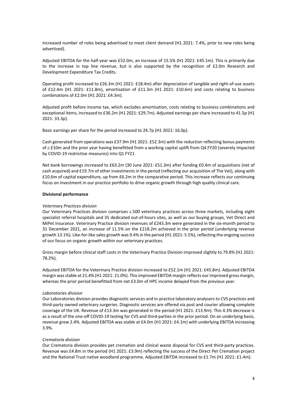increased number of roles being advertised to meet client demand (H1 2021: 7.4%, prior to new roles being advertised).

Adjusted EBITDA for the half-year was £52.0m, an increase of 15.5% (H1 2021: £45.1m). This is primarily due to the increase in top line revenue, but is also supported by the recognition of £2.0m Research and Development Expenditure Tax Credits.

Operating profit increased to £26.3m (H1 2021: £18.4m) after depreciation of tangible and right-of-use assets of £12.4m (H1 2021: £11.8m), amortisation of £11.3m (H1 2021: £10.6m) and costs relating to business combinations of £2.0m (H1 2021: £4.3m).

Adjusted profit before income tax, which excludes amortisation, costs relating to business combinations and exceptional items, increased to £36.2m (H1 2021: £29.7m). Adjusted earnings per share increased to 41.5p (H1 2021: 33.3p).

Basic earnings per share for the period increased to 24.7p (H1 2021: 16.0p).

Cash generated from operations was £37.9m (H1 2021: £52.3m) with the reduction reflecting bonus payments of *c.*£10m and the prior year having benefitted from a working capital uplift from Q4 FY20 (severely impacted by COVID-19 restrictive measures) into Q1 FY21.

Net bank borrowings increased to £63.2m (30 June 2021: £51.3m) after funding £0.4m of acquisitions (net of cash acquired) and £19.7m of other investments in the period (reflecting our acquisition of The Vet), along with £10.6m of capital expenditure, up from £6.2m in the comparative period. This increase reflects our continuing focus on investment in our practice portfolio to drive organic growth through high quality clinical care.

## **Divisional performance**

# *Veterinary Practices division*

Our Veterinary Practices division comprises *c.*500 veterinary practices across three markets, including eight specialist referral hospitals and 35 dedicated out-of-hours sites, as well as our buying groups, Vet Direct and MiPet insurance. Veterinary Practice division revenues of £243.3m were generated in the six-month period to 31 December 2021, an increase of 11.5% on the £218.2m achieved in the prior period (underlying revenue growth 13.1%). Like-for-like sales growth was 9.4% in the period (H1 2021: 5.5%), reflecting the ongoing success of our focus on organic growth within our veterinary practices.

Gross margin before clinical staff costs in the Veterinary Practice Division improved slightly to 79.8% (H1 2021: 78.2%).

Adjusted EBITDA for the Veterinary Practice division increased to £52.1m (H1 2021: £45.8m). Adjusted EBITDA margin was stable at 21.4% (H1 2021: 21.0%). This improved EBITDA margin reflects our improved gross margin, whereas the prior period benefitted from net £3.0m of HPC income delayed from the previous year.

### *Laboratories division*

Our Laboratories division provides diagnostic services and in-practice laboratory analysers to CVS practices and third-party owned veterinary surgeries. Diagnostic services are offered via post and courier allowing complete coverage of the UK. Revenue of £13.3m was generated in the period (H1 2021: £13.9m). This 4.3% decrease is as a result of the one-off COVID-19 testing for CVS and third-parties in the prior period. On an underlying basis, revenue grew 2.4%. Adjusted EBITDA was stable at £4.0m (H1 2021: £4.1m) with underlying EBITDA increasing 3.9%.

# *Crematoria division*

Our Crematoria division provides pet cremation and clinical waste disposal for CVS and third-party practices. Revenue was £4.8m in the period (H1 2021: £3.9m) reflecting the success of the Direct Pet Cremation project and the National Trust native woodland programme. Adjusted EBITDA increased to £1.7m (H1 2021: £1.4m).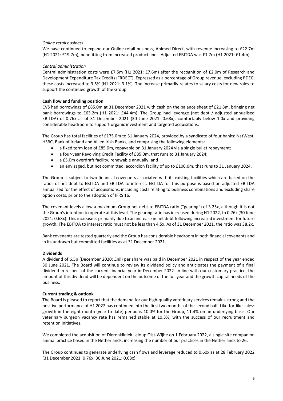# *Online retail business*

We have continued to expand our Online retail business, Animed Direct, with revenue increasing to £22.7m (H1 2021: £19.7m), benefitting from increased product lines. Adjusted EBITDA was £1.7m (H1 2021: £1.4m).

## *Central administration*

Central administration costs were £7.5m (H1 2021: £7.6m) after the recognition of £2.0m of Research and Development Expenditure Tax Credits ("RDEC"). Expressed as a percentage of Group revenue, excluding RDEC, these costs increased to 3.5% (H1 2021: 3.1%). The increase primarily relates to salary costs for new roles to support the continued growth of the Group.

## **Cash flow and funding position**

CVS had borrowings of £85.0m at 31 December 2021 with cash on the balance sheet of £21.8m, bringing net bank borrowings to £63.2m (H1 2021: £44.4m). The Group had leverage (net debt / adjusted annualised EBITDA) of 0.76x as of 31 December 2021 (30 June 2021: 0.68x), comfortably below 1.0x and providing considerable headroom to support organic investment and targeted acquisitions.

The Group has total facilities of £175.0m to 31 January 2024, provided by a syndicate of four banks: NatWest, HSBC, Bank of Ireland and Allied Irish Banks, and comprising the following elements:

- a fixed term loan of £85.0m, repayable on 31 January 2024 via a single bullet repayment;
- a four-year Revolving Credit Facility of £85.0m, that runs to 31 January 2024;
- a £5.0m overdraft facility, renewable annually; and
- an envisaged, but not committed, accordion facility of up to £100.0m, that runs to 31 January 2024.

The Group is subject to two financial covenants associated with its existing facilities which are based on the ratios of net debt to EBITDA and EBITDA to interest. EBITDA for this purpose is based on adjusted EBITDA annualised for the effect of acquisitions, including costs relating to business combinations and excluding share option costs, prior to the adoption of IFRS 16.

The covenant levels allow a maximum Group net debt to EBITDA ratio ("gearing") of 3.25x, although it is not the Group's intention to operate at this level. The gearing ratio has increased during H1 2022, to 0.76x (30 June 2021: 0.68x). This increase is primarily due to an increase in net debt following increased investment for future growth. The EBITDA to interest ratio must not be less than 4.5x. As of 31 December 2021, the ratio was 38.2x.

Bank covenants are tested quarterly and the Group has considerable headroom in both financial covenants and in its undrawn but committed facilities as at 31 December 2021.

# **Dividends**

A dividend of 6.5p (December 2020: £nil) per share was paid in December 2021 in respect of the year ended 30 June 2021. The Board will continue to review its dividend policy and anticipates the payment of a final dividend in respect of the current financial year in December 2022. In line with our customary practice, the amount of this dividend will be dependent on the outcome of the full year and the growth capital needs of the business.

## **Current trading & outlook**

The Board is pleased to report that the demand for our high-quality veterinary services remains strong and the positive performance of H1 2022 has continued into the first two months of the second half. Like-for-like sales<sup>1</sup> growth in the eight-month (year-to-date) period is 10.0% for the Group, 11.4% on an underlying basis. Our veterinary surgeon vacancy rate has remained stable at 10.3%, with the success of our recruitment and retention initiatives.

We completed the acquisition of Dierenkliniek Leloup Olst-Wijhe on 1 February 2022, a single site companion animal practice based in the Netherlands, increasing the number of our practices in the Netherlands to 26.

The Group continues to generate underlying cash flows and leverage reduced to 0.60x as at 28 February 2022 (31 December 2021: 0.76x; 30 June 2021: 0.68x).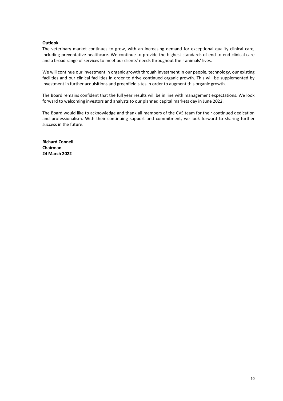## **Outlook**

The veterinary market continues to grow, with an increasing demand for exceptional quality clinical care, including preventative healthcare. We continue to provide the highest standards of end-to-end clinical care and a broad range of services to meet our clients' needs throughout their animals' lives.

We will continue our investment in organic growth through investment in our people, technology, our existing facilities and our clinical facilities in order to drive continued organic growth. This will be supplemented by investment in further acquisitions and greenfield sites in order to augment this organic growth.

The Board remains confident that the full year results will be in line with management expectations. We look forward to welcoming investors and analysts to our planned capital markets day in June 2022.

The Board would like to acknowledge and thank all members of the CVS team for their continued dedication and professionalism. With their continuing support and commitment, we look forward to sharing further success in the future.

**Richard Connell Chairman 24 March 2022**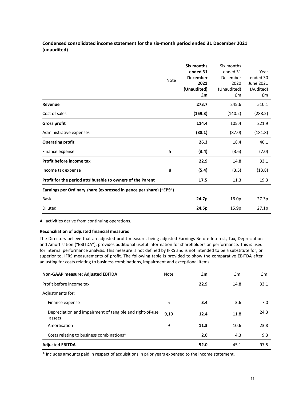# **Condensed consolidated income statement for the six-month period ended 31 December 2021 (unaudited)**

|                                                                    | <b>Note</b> | Six months<br>ended 31<br><b>December</b><br>2021<br>(Unaudited)<br>£m | Six months<br>ended 31<br>December<br>2020<br>(Unaudited)<br>£m | Year<br>ended 30<br>June 2021<br>(Audited)<br>£m |
|--------------------------------------------------------------------|-------------|------------------------------------------------------------------------|-----------------------------------------------------------------|--------------------------------------------------|
| Revenue                                                            |             | 273.7                                                                  | 245.6                                                           | 510.1                                            |
| Cost of sales                                                      |             | (159.3)                                                                | (140.2)                                                         | (288.2)                                          |
| <b>Gross profit</b>                                                |             | 114.4                                                                  | 105.4                                                           | 221.9                                            |
| Administrative expenses                                            |             | (88.1)                                                                 | (87.0)                                                          | (181.8)                                          |
| <b>Operating profit</b>                                            |             | 26.3                                                                   | 18.4                                                            | 40.1                                             |
| Finance expense                                                    | 5           | (3.4)                                                                  | (3.6)                                                           | (7.0)                                            |
| Profit before income tax                                           |             | 22.9                                                                   | 14.8                                                            | 33.1                                             |
| Income tax expense                                                 | 8           | (5.4)                                                                  | (3.5)                                                           | (13.8)                                           |
| Profit for the period attributable to owners of the Parent         |             | 17.5                                                                   | 11.3                                                            | 19.3                                             |
| Earnings per Ordinary share (expressed in pence per share) ("EPS") |             |                                                                        |                                                                 |                                                  |
| <b>Basic</b>                                                       |             | 24.7p                                                                  | 16.0p                                                           | 27.3p                                            |
| <b>Diluted</b>                                                     |             | 24.5p                                                                  | 15.9p                                                           | 27.1p                                            |

All activities derive from continuing operations.

# **Reconciliation of adjusted financial measures**

The Directors believe that an adjusted profit measure, being adjusted Earnings Before Interest, Tax, Depreciation and Amortisation ("EBITDA"), provides additional useful information for shareholders on performance. This is used for internal performance analysis. This measure is not defined by IFRS and is not intended to be a substitute for, or superior to, IFRS measurements of profit. The following table is provided to show the comparative EBITDA after adjusting for costs relating to business combinations, impairment and exceptional items.

| <b>Non-GAAP measure: Adjusted EBITDA</b>                           | Note | £m   | £m   | £m   |
|--------------------------------------------------------------------|------|------|------|------|
| Profit before income tax                                           |      | 22.9 | 14.8 | 33.1 |
| Adjustments for:                                                   |      |      |      |      |
| Finance expense                                                    | 5    | 3.4  | 3.6  | 7.0  |
| Depreciation and impairment of tangible and right-of-use<br>assets | 9,10 | 12.4 | 11.8 | 24.3 |
| Amortisation                                                       | 9    | 11.3 | 10.6 | 23.8 |
| Costs relating to business combinations*                           |      | 2.0  | 4.3  | 9.3  |
| <b>Adjusted EBITDA</b>                                             |      | 52.0 | 45.1 | 97.5 |

\* Includes amounts paid in respect of acquisitions in prior years expensed to the income statement.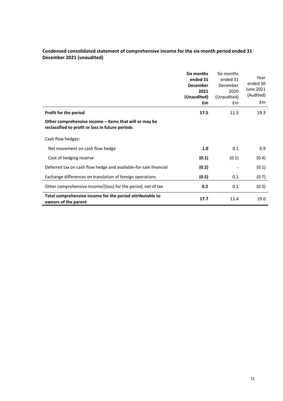# **Condensed consolidated statement of comprehensive income for the six-month period ended 31 December 2021 (unaudited)**

|                                                                                                            | Six months<br>ended 31<br><b>December</b><br>2021<br>(Unaudited)<br>£m | Six months<br>ended 31<br>December<br>2020<br>(Unaudited)<br>$\mathsf{fm}$ | Year<br>ended 30<br>June 2021<br>(Audited)<br>£m |
|------------------------------------------------------------------------------------------------------------|------------------------------------------------------------------------|----------------------------------------------------------------------------|--------------------------------------------------|
| Profit for the period                                                                                      | 17.5                                                                   | 11.3                                                                       | 19.3                                             |
| Other comprehensive income – items that will or may be<br>reclassified to profit or loss in future periods |                                                                        |                                                                            |                                                  |
| Cash flow hedges:                                                                                          |                                                                        |                                                                            |                                                  |
| Net movement on cash flow hedge                                                                            | 1.0                                                                    | 0.1                                                                        | 0.9                                              |
| Cost of hedging reserve                                                                                    | (0.1)                                                                  | (0.1)                                                                      | (0.4)                                            |
| Deferred tax on cash flow hedge and available-for-sale financial                                           | (0.2)                                                                  |                                                                            | (0.1)                                            |
| Exchange differences on translation of foreign operations                                                  | (0.5)                                                                  | 0.1                                                                        | (0.7)                                            |
| Other comprehensive income/(loss) for the period, net of tax                                               | 0.2                                                                    | 0.1                                                                        | (0.3)                                            |
| Total comprehensive income for the period attributable to<br>owners of the parent                          | 17.7                                                                   | 11.4                                                                       | 19.0                                             |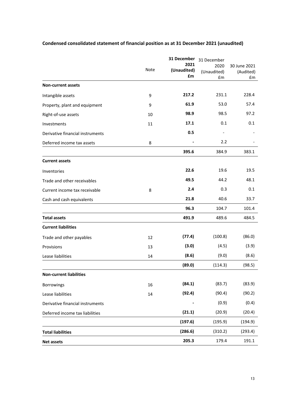|                                  |      | 31 December               | 31 December               |                                 |  |
|----------------------------------|------|---------------------------|---------------------------|---------------------------------|--|
|                                  | Note | 2021<br>(Unaudited)<br>£m | 2020<br>(Unaudited)<br>£m | 30 June 2021<br>(Audited)<br>£m |  |
| <b>Non-current assets</b>        |      |                           |                           |                                 |  |
| Intangible assets                | 9    | 217.2                     | 231.1                     | 228.4                           |  |
| Property, plant and equipment    | 9    | 61.9                      | 53.0                      | 57.4                            |  |
| Right-of-use assets              | 10   | 98.9                      | 98.5                      | 97.2                            |  |
| Investments                      | 11   | 17.1                      | 0.1                       | 0.1                             |  |
| Derivative financial instruments |      | 0.5                       |                           |                                 |  |
| Deferred income tax assets       | 8    |                           | 2.2                       |                                 |  |
|                                  |      | 395.6                     | 384.9                     | 383.1                           |  |
| <b>Current assets</b>            |      |                           |                           |                                 |  |
| Inventories                      |      | 22.6                      | 19.6                      | 19.5                            |  |
| Trade and other receivables      |      | 49.5                      | 44.2                      | 48.1                            |  |
| Current income tax receivable    | 8    | 2.4                       | 0.3                       | 0.1                             |  |
| Cash and cash equivalents        |      | 21.8                      | 40.6                      | 33.7                            |  |
|                                  |      | 96.3                      | 104.7                     | 101.4                           |  |
| <b>Total assets</b>              |      | 491.9                     | 489.6                     | 484.5                           |  |
| <b>Current liabilities</b>       |      |                           |                           |                                 |  |
| Trade and other payables         | 12   | (77.4)                    | (100.8)                   | (86.0)                          |  |
| Provisions                       | 13   | (3.0)                     | (4.5)                     | (3.9)                           |  |
| Lease liabilities                | 14   | (8.6)                     | (9.0)                     | (8.6)                           |  |
|                                  |      | (89.0)                    | (114.3)                   | (98.5)                          |  |
| <b>Non-current liabilities</b>   |      |                           |                           |                                 |  |
| <b>Borrowings</b>                | 16   | (84.1)                    | (83.7)                    | (83.9)                          |  |
| Lease liabilities                | 14   | (92.4)                    | (90.4)                    | (90.2)                          |  |
| Derivative financial instruments |      |                           | (0.9)                     | (0.4)                           |  |
| Deferred income tax liabilities  |      | (21.1)                    | (20.9)                    | (20.4)                          |  |
|                                  |      | (197.6)                   | (195.9)                   | (194.9)                         |  |
| <b>Total liabilities</b>         |      | (286.6)                   | (310.2)                   | (293.4)                         |  |
| <b>Net assets</b>                |      | 205.3                     | 179.4                     | 191.1                           |  |

# **Condensed consolidated statement of financial position as at 31 December 2021 (unaudited)**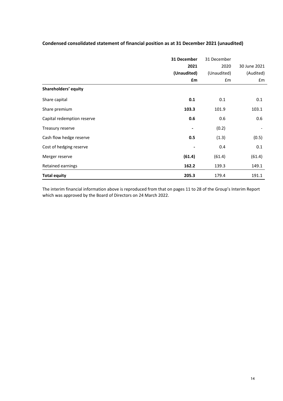|                            | 31 December | 31 December |              |
|----------------------------|-------------|-------------|--------------|
|                            | 2021        | 2020        | 30 June 2021 |
|                            | (Unaudited) | (Unaudited) | (Audited)    |
|                            | £m          | £m          | £m           |
| Shareholders' equity       |             |             |              |
| Share capital              | 0.1         | 0.1         | 0.1          |
| Share premium              | 103.3       | 101.9       | 103.1        |
| Capital redemption reserve | 0.6         | 0.6         | 0.6          |
| Treasury reserve           | -           | (0.2)       |              |
| Cash flow hedge reserve    | 0.5         | (1.3)       | (0.5)        |
| Cost of hedging reserve    |             | 0.4         | 0.1          |
| Merger reserve             | (61.4)      | (61.4)      | (61.4)       |
| Retained earnings          | 162.2       | 139.3       | 149.1        |
| <b>Total equity</b>        | 205.3       | 179.4       | 191.1        |

# **Condensed consolidated statement of financial position as at 31 December 2021 (unaudited)**

The interim financial information above is reproduced from that on pages 11 to 28 of the Group's Interim Report which was approved by the Board of Directors on 24 March 2022.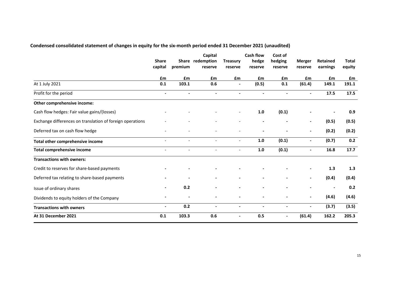# **Condensed consolidated statement of changes in equity for the six-month period ended 31 December 2021 (unaudited)**

|                                                           | <b>Share</b><br>capital  | premium | Capital<br>Share redemption<br>reserve | <b>Treasury</b><br>reserve | <b>Cash flow</b><br>hedge<br>reserve | Cost of<br>hedging<br>reserve | <b>Merger</b><br>reserve | Retained<br>earnings | <b>Total</b><br>equity |
|-----------------------------------------------------------|--------------------------|---------|----------------------------------------|----------------------------|--------------------------------------|-------------------------------|--------------------------|----------------------|------------------------|
|                                                           | <b>f</b> m               | £m      | £m                                     | £m                         | £m                                   | £m                            | £m                       | £m                   | £m                     |
| At 1 July 2021                                            | 0.1                      | 103.1   | 0.6                                    |                            | (0.5)                                | 0.1                           | (61.4)                   | 149.1                | 191.1                  |
| Profit for the period                                     | $\overline{a}$           |         |                                        |                            |                                      |                               |                          | 17.5                 | 17.5                   |
| Other comprehensive income:                               |                          |         |                                        |                            |                                      |                               |                          |                      |                        |
| Cash flow hedges: Fair value gains/(losses)               |                          |         |                                        | $\overline{\phantom{a}}$   | 1.0                                  | (0.1)                         |                          |                      | 0.9                    |
| Exchange differences on translation of foreign operations |                          |         |                                        |                            |                                      |                               | $\blacksquare$           | (0.5)                | (0.5)                  |
| Deferred tax on cash flow hedge                           | $\overline{\phantom{0}}$ |         |                                        |                            |                                      |                               | ۰.                       | (0.2)                | (0.2)                  |
| Total other comprehensive income                          |                          |         |                                        |                            | 1.0                                  | (0.1)                         |                          | (0.7)                | 0.2                    |
| <b>Total comprehensive income</b>                         |                          |         |                                        |                            | 1.0                                  | (0.1)                         | ۰                        | 16.8                 | 17.7                   |
| <b>Transactions with owners:</b>                          |                          |         |                                        |                            |                                      |                               |                          |                      |                        |
| Credit to reserves for share-based payments               |                          |         |                                        |                            |                                      |                               | $\blacksquare$           | 1.3                  | 1.3                    |
| Deferred tax relating to share-based payments             |                          |         |                                        |                            |                                      |                               | $\blacksquare$           | (0.4)                | (0.4)                  |
| Issue of ordinary shares                                  |                          | 0.2     |                                        |                            |                                      |                               |                          |                      | 0.2                    |
| Dividends to equity holders of the Company                |                          |         |                                        |                            |                                      |                               |                          | (4.6)                | (4.6)                  |
| <b>Transactions with owners</b>                           | -                        | 0.2     |                                        |                            | $\blacksquare$                       | $\overline{\phantom{a}}$      | $\blacksquare$           | (3.7)                | (3.5)                  |
| At 31 December 2021                                       | 0.1                      | 103.3   | 0.6                                    | $\overline{\phantom{a}}$   | 0.5                                  | $\overline{\phantom{a}}$      | (61.4)                   | 162.2                | 205.3                  |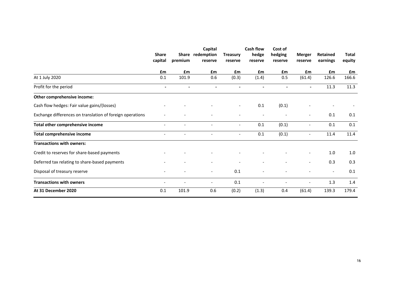|                                                           | <b>Share</b><br>capital  | <b>Share</b><br>premium      | Capital<br>redemption<br>reserve | <b>Treasury</b><br>reserve | <b>Cash flow</b><br>hedge<br>reserve | Cost of<br>hedging<br>reserve | Merger<br>reserve        | <b>Retained</b><br>earnings | <b>Total</b><br>equity |
|-----------------------------------------------------------|--------------------------|------------------------------|----------------------------------|----------------------------|--------------------------------------|-------------------------------|--------------------------|-----------------------------|------------------------|
|                                                           | £m                       | £m                           | £m                               | £m                         | £m                                   | £m                            | £m                       | £m                          | £m                     |
| At 1 July 2020                                            | 0.1                      | 101.9                        | 0.6                              | (0.3)                      | (1.4)                                | 0.5                           | (61.4)                   | 126.6                       | 166.6                  |
| Profit for the period                                     | $\blacksquare$           |                              |                                  |                            |                                      |                               |                          | 11.3                        | 11.3                   |
| Other comprehensive income:                               |                          |                              |                                  |                            |                                      |                               |                          |                             |                        |
| Cash flow hedges: Fair value gains/(losses)               |                          |                              |                                  | $\overline{\phantom{a}}$   | 0.1                                  | (0.1)                         |                          |                             |                        |
| Exchange differences on translation of foreign operations |                          |                              |                                  |                            |                                      |                               |                          | 0.1                         | 0.1                    |
| Total other comprehensive income                          | $\overline{\phantom{a}}$ | $\overline{\phantom{a}}$     | $\overline{\phantom{a}}$         | $\blacksquare$             | 0.1                                  | (0.1)                         | $\overline{\phantom{a}}$ | 0.1                         | 0.1                    |
| <b>Total comprehensive income</b>                         | $\overline{\phantom{a}}$ | $\qquad \qquad \blacksquare$ | $\overline{\phantom{a}}$         | $\overline{\phantom{a}}$   | 0.1                                  | (0.1)                         | $\overline{\phantom{a}}$ | 11.4                        | 11.4                   |
| <b>Transactions with owners:</b>                          |                          |                              |                                  |                            |                                      |                               |                          |                             |                        |
| Credit to reserves for share-based payments               |                          |                              |                                  |                            |                                      |                               | $\overline{\phantom{a}}$ | $1.0$                       | 1.0                    |
| Deferred tax relating to share-based payments             |                          |                              |                                  |                            |                                      |                               | $\overline{\phantom{a}}$ | 0.3                         | 0.3                    |
| Disposal of treasury reserve                              |                          |                              | $\overline{\phantom{a}}$         | 0.1                        |                                      |                               |                          |                             | 0.1                    |
| <b>Transactions with owners</b>                           | ٠                        |                              | $\overline{\phantom{a}}$         | 0.1                        |                                      |                               | $\overline{\phantom{a}}$ | 1.3                         | 1.4                    |
| At 31 December 2020                                       | 0.1                      | 101.9                        | 0.6                              | (0.2)                      | (1.3)                                | 0.4                           | (61.4)                   | 139.3                       | 179.4                  |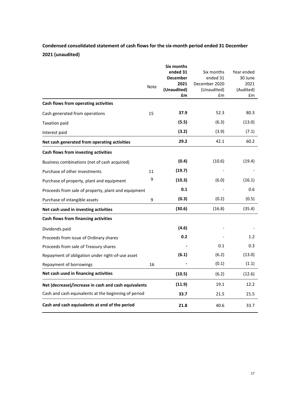# **Condensed consolidated statement of cash flows for the six-month period ended 31 December 2021 (unaudited)**

|                                                      |             | Six months      |               |            |
|------------------------------------------------------|-------------|-----------------|---------------|------------|
|                                                      |             | ended 31        | Six months    | Year ended |
|                                                      |             | <b>December</b> | ended 31      | 30 June    |
|                                                      | <b>Note</b> | 2021            | December 2020 | 2021       |
|                                                      |             | (Unaudited)     | (Unaudited)   | (Audited)  |
|                                                      |             | £m              | £m            | £m         |
| Cash flows from operating activities                 |             |                 |               |            |
| Cash generated from operations                       | 15          | 37.9            | 52.3          | 80.3       |
| <b>Taxation paid</b>                                 |             | (5.5)           | (6.3)         | (13.0)     |
| Interest paid                                        |             | (3.2)           | (3.9)         | (7.1)      |
| Net cash generated from operating activities         |             | 29.2            | 42.1          | 60.2       |
| Cash flows from investing activities                 |             |                 |               |            |
| Business combinations (net of cash acquired)         |             | (0.4)           | (10.6)        | (19.4)     |
| Purchase of other investments                        | 11          | (19.7)          |               |            |
| Purchase of property, plant and equipment            | 9           | (10.3)          | (6.0)         | (16.1)     |
| Proceeds from sale of property, plant and equipment  |             | 0.1             |               | 0.6        |
| Purchase of intangible assets                        | 9           | (0.3)           | (0.2)         | (0.5)      |
| Net cash used in investing activities                |             | (30.6)          | (16.8)        | (35.4)     |
| Cash flows from financing activities                 |             |                 |               |            |
| Dividends paid                                       |             | (4.6)           |               |            |
| Proceeds from issue of Ordinary shares               |             | 0.2             |               | 1.2        |
| Proceeds from sale of Treasury shares                |             |                 | 0.1           | 0.3        |
| Repayment of obligation under right-of-use asset     |             | (6.1)           | (6.2)         | (13.0)     |
| Repayment of borrowings                              | 16          |                 | (0.1)         | (1.1)      |
| Net cash used in financing activities                |             | (10.5)          | (6.2)         | (12.6)     |
| Net (decrease)/increase in cash and cash equivalents |             | (11.9)          | 19.1          | 12.2       |
| Cash and cash equivalents at the beginning of period |             | 33.7            | 21.5          | 21.5       |
| Cash and cash equivalents at end of the period       |             | 21.8            | 40.6          | 33.7       |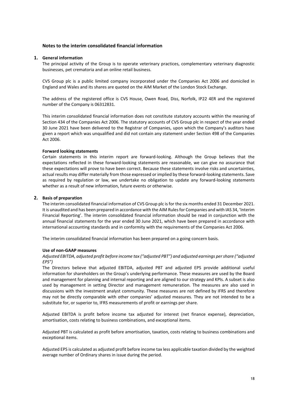# **Notes to the interim consolidated financial information**

## **1. General information**

The principal activity of the Group is to operate veterinary practices, complementary veterinary diagnostic businesses, pet crematoria and an online retail business.

CVS Group plc is a public limited company incorporated under the Companies Act 2006 and domiciled in England and Wales and its shares are quoted on the AIM Market of the London Stock Exchange.

The address of the registered office is CVS House, Owen Road, Diss, Norfolk, IP22 4ER and the registered number of the Company is 06312831.

This interim consolidated financial information does not constitute statutory accounts within the meaning of Section 434 of the Companies Act 2006. The statutory accounts of CVS Group plc in respect of the year ended 30 June 2021 have been delivered to the Registrar of Companies, upon which the Company's auditors have given a report which was unqualified and did not contain any statement under Section 498 of the Companies Act 2006.

### **Forward looking statements**

Certain statements in this interim report are forward-looking. Although the Group believes that the expectations reflected in these forward-looking statements are reasonable, we can give no assurance that these expectations will prove to have been correct. Because these statements involve risks and uncertainties, actual results may differ materially from those expressed or implied by these forward-looking statements. Save as required by regulation or law, we undertake no obligation to update any forward-looking statements whether as a result of new information, future events or otherwise.

## **2. Basis of preparation**

The interim consolidated financial information of CVS Group plc is for the six months ended 31 December 2021. It is unaudited and has been prepared in accordance with the AIM Rules for Companies and with IAS 34, 'Interim Financial Reporting'. The interim consolidated financial information should be read in conjunction with the annual financial statements for the year ended 30 June 2021, which have been prepared in accordance with international accounting standards and in conformity with the requirements of the Companies Act 2006.

The interim consolidated financial information has been prepared on a going concern basis.

## **Use of non-GAAP measures**

*Adjusted EBITDA, adjusted profit before income tax ("adjusted PBT") and adjusted earnings per share ("adjusted EPS")*

The Directors believe that adjusted EBITDA, adjusted PBT and adjusted EPS provide additional useful information for shareholders on the Group's underlying performance. These measures are used by the Board and management for planning and internal reporting and are aligned to our strategy and KPIs. A subset is also used by management in setting Director and management remuneration. The measures are also used in discussions with the investment analyst community. These measures are not defined by IFRS and therefore may not be directly comparable with other companies' adjusted measures. They are not intended to be a substitute for, or superior to, IFRS measurements of profit or earnings per share.

Adjusted EBITDA is profit before income tax adjusted for interest (net finance expense), depreciation, amortisation, costs relating to business combinations, and exceptional items.

Adjusted PBT is calculated as profit before amortisation, taxation, costs relating to business combinations and exceptional items.

Adjusted EPS is calculated as adjusted profit before income tax less applicable taxation divided by the weighted average number of Ordinary shares in issue during the period.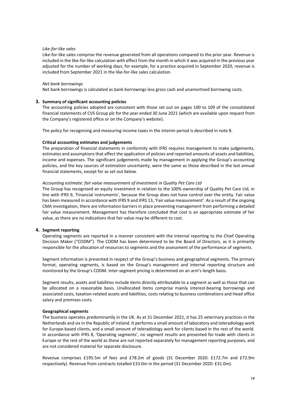## *Like-for-like sales*

Like-for-like sales comprise the revenue generated from all operations compared to the prior year. Revenue is included in the like-for-like calculation with effect from the month in which it was acquired in the previous year adjusted for the number of working days; for example, for a practice acquired in September 2020, revenue is included from September 2021 in the like-for-like sales calculation.

### *Net bank borrowings*

Net bank borrowings is calculated as bank borrowings less gross cash and unamortised borrowing costs.

## **3. Summary of significant accounting policies**

The accounting policies adopted are consistent with those set out on pages 100 to 109 of the consolidated financial statements of CVS Group plc for the year ended 30 June 2021 (which are available upon request from the Company's registered office or on the Company's website).

The policy for recognising and measuring income taxes in the interim period is described in note 8.

#### **Critical accounting estimates and judgements**

The preparation of financial statements in conformity with IFRS requires management to make judgements, estimates and assumptions that affect the application of policies and reported amounts of assets and liabilities, income and expenses. The significant judgements made by management in applying the Group's accounting policies, and the key sources of estimation uncertainty, were the same as those described in the last annual financial statements, except for as set out below.

#### *Accounting estimate: fair value measurement of investment in Quality Pet Care Ltd*

The Group has recognised an equity investment in relation to the 100% ownership of Quality Pet Care Ltd, in line with IFRS 9, 'Financial instruments', because the Group does not have control over the entity. Fair value has been measured in accordance with IFRS 9 and IFRS 13, 'Fair value measurement'. As a result of the ongoing CMA investigation, there are information barriers in place preventing management from performing a detailed fair value measurement. Management has therefore concluded that cost is an appropriate estimate of fair value, as there are no indications that fair value may be different to cost.

## **4. Segment reporting**

Operating segments are reported in a manner consistent with the internal reporting to the Chief Operating Decision Maker ("CODM"). The CODM has been determined to be the Board of Directors, as it is primarily responsible for the allocation of resources to segments and the assessment of the performance of segments.

Segment information is presented in respect of the Group's business and geographical segments. The primary format, operating segments, is based on the Group's management and internal reporting structure and monitored by the Group's CODM. Inter-segment pricing is determined on an arm's length basis.

Segment results, assets and liabilities include items directly attributable to a segment as well as those that can be allocated on a reasonable basis. Unallocated items comprise mainly interest-bearing borrowings and associated costs, taxation-related assets and liabilities, costs relating to business combinations and Head office salary and premises costs.

## **Geographical segments**

The business operates predominantly in the UK. As at 31 December 2021, it has 25 veterinary practices in the Netherlands and six in the Republic of Ireland. It performs a small amount of laboratory and teleradiology work for Europe-based clients, and a small amount of teleradiology work for clients based in the rest of the world. In accordance with IFRS 8, 'Operating segments', no segment results are presented for trade with clients in Europe or the rest of the world as these are not reported separately for management reporting purposes, and are not considered material for separate disclosure.

Revenue comprises £195.5m of fees and £78.2m of goods (31 December 2020: £172.7m and £72.9m respectively). Revenue from contracts totalled £33.0m in the period (31 December 2020: £31.0m).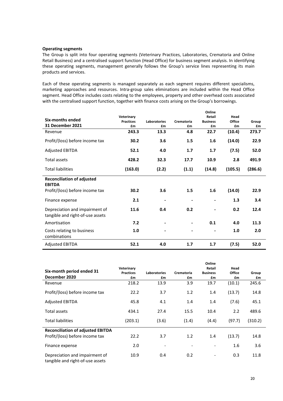## **Operating segments**

The Group is split into four operating segments (Veterinary Practices, Laboratories, Crematoria and Online Retail Business) and a centralised support function (Head Office) for business segment analysis. In identifying these operating segments, management generally follows the Group's service lines representing its main products and services.

Each of these operating segments is managed separately as each segment requires different specialisms, marketing approaches and resources. Intra-group sales eliminations are included within the Head Office segment. Head Office includes costs relating to the employees, property and other overhead costs associated with the centralised support function, together with finance costs arising on the Group's borrowings.

| Six-months ended<br>31 December 2021                               | Veterinary<br><b>Practices</b><br>£m | <b>Laboratories</b><br>£m | Crematoria<br>£m | Online<br>Retail<br><b>Business</b><br>£m | Head<br>Office<br>£m | Group<br>£m |
|--------------------------------------------------------------------|--------------------------------------|---------------------------|------------------|-------------------------------------------|----------------------|-------------|
| Revenue                                                            | 243.3                                | 13.3                      | 4.8              | 22.7                                      | (10.4)               | 273.7       |
| Profit/(loss) before income tax                                    | 30.2                                 | 3.6                       | 1.5              | 1.6                                       | (14.0)               | 22.9        |
| <b>Adjusted EBITDA</b>                                             | 52.1                                 | 4.0                       | 1.7              | 1.7                                       | (7.5)                | 52.0        |
| Total assets                                                       | 428.2                                | 32.3                      | 17.7             | 10.9                                      | 2.8                  | 491.9       |
| <b>Total liabilities</b>                                           | (163.0)                              | (2.2)                     | (1.1)            | (14.8)                                    | (105.5)              | (286.6)     |
| <b>Reconciliation of adjusted</b>                                  |                                      |                           |                  |                                           |                      |             |
| <b>EBITDA</b><br>Profit/(loss) before income tax                   | 30.2                                 | 3.6                       | 1.5              | 1.6                                       | (14.0)               | 22.9        |
| Finance expense                                                    | 2.1                                  |                           |                  | -                                         | 1.3                  | 3.4         |
| Depreciation and impairment of<br>tangible and right-of-use assets | 11.6                                 | 0.4                       | 0.2              |                                           | 0.2                  | 12.4        |
| Amortisation                                                       | 7.2                                  |                           |                  | 0.1                                       | 4.0                  | 11.3        |
| Costs relating to business<br>combinations                         | 1.0                                  |                           |                  | -                                         | 1.0                  | 2.0         |
| <b>Adjusted EBITDA</b>                                             | 52.1                                 | 4.0                       | 1.7              | 1.7                                       | (7.5)                | 52.0        |

|                                                                    |                                      |                           |                  | Online                          |                      |             |
|--------------------------------------------------------------------|--------------------------------------|---------------------------|------------------|---------------------------------|----------------------|-------------|
| Six-month period ended 31<br>December 2020                         | Veterinary<br><b>Practices</b><br>£m | <b>Laboratories</b><br>£m | Crematoria<br>£m | Retail<br><b>Business</b><br>£m | Head<br>Office<br>£m | Group<br>£m |
| Revenue                                                            | 218.2                                | 13.9                      | 3.9              | 19.7                            | (10.1)               | 245.6       |
| Profit/(loss) before income tax                                    | 22.2                                 | 3.7                       | 1.2              | 1.4                             | (13.7)               | 14.8        |
| <b>Adjusted EBITDA</b>                                             | 45.8                                 | 4.1                       | 1.4              | 1.4                             | (7.6)                | 45.1        |
| Total assets                                                       | 434.1                                | 27.4                      | 15.5             | 10.4                            | 2.2                  | 489.6       |
| <b>Total liabilities</b>                                           | (203.1)                              | (3.6)                     | (1.4)            | (4.4)                           | (97.7)               | (310.2)     |
| <b>Reconciliation of adjusted EBITDA</b>                           |                                      |                           |                  |                                 |                      |             |
| Profit/(loss) before income tax                                    | 22.2                                 | 3.7                       | 1.2              | 1.4                             | (13.7)               | 14.8        |
| Finance expense                                                    | 2.0                                  |                           |                  |                                 | 1.6                  | 3.6         |
| Depreciation and impairment of<br>tangible and right-of-use assets | 10.9                                 | 0.4                       | 0.2              | $\overline{a}$                  | 0.3                  | 11.8        |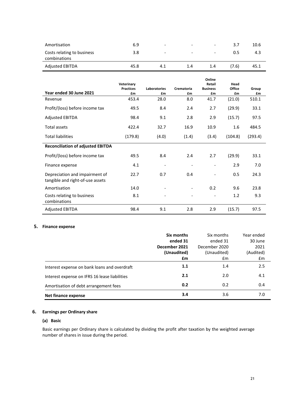| Amortisation                               | 6.9  | $\overline{\phantom{0}}$ | $\overline{\phantom{0}}$ | $\overline{\phantom{a}}$ | 3.7   | 10.6 |
|--------------------------------------------|------|--------------------------|--------------------------|--------------------------|-------|------|
| Costs relating to business<br>combinations | 3.8  | $\qquad \qquad -$        | $\overline{\phantom{a}}$ | $\overline{\phantom{0}}$ | 0.5   | 4.3  |
| <b>Adjusted EBITDA</b>                     | 45.8 | 4.1                      | 1.4                      | 1.4                      | (7.6) | 45.1 |

|                                                                    |                                |                     |            | Online                       |                |         |
|--------------------------------------------------------------------|--------------------------------|---------------------|------------|------------------------------|----------------|---------|
|                                                                    | Veterinary<br><b>Practices</b> | <b>Laboratories</b> | Crematoria | Retail<br><b>Business</b>    | Head<br>Office | Group   |
| Year ended 30 June 2021                                            | £m                             | £m                  | £m         | £m                           | £m             | £m      |
| Revenue                                                            | 453.4                          | 28.0                | 8.0        | 41.7                         | (21.0)         | 510.1   |
| Profit/(loss) before income tax                                    | 49.5                           | 8.4                 | 2.4        | 2.7                          | (29.9)         | 33.1    |
| <b>Adjusted EBITDA</b>                                             | 98.4                           | 9.1                 | 2.8        | 2.9                          | (15.7)         | 97.5    |
| Total assets                                                       | 422.4                          | 32.7                | 16.9       | 10.9                         | 1.6            | 484.5   |
| <b>Total liabilities</b>                                           | (179.8)                        | (4.0)               | (1.4)      | (3.4)                        | (104.8)        | (293.4) |
| <b>Reconciliation of adjusted EBITDA</b>                           |                                |                     |            |                              |                |         |
| Profit/(loss) before income tax                                    | 49.5                           | 8.4                 | 2.4        | 2.7                          | (29.9)         | 33.1    |
| Finance expense                                                    | 4.1                            |                     |            | $\overline{\phantom{a}}$     | 2.9            | 7.0     |
| Depreciation and impairment of<br>tangible and right-of-use assets | 22.7                           | 0.7                 | 0.4        |                              | 0.5            | 24.3    |
| Amortisation                                                       | 14.0                           |                     |            | 0.2                          | 9.6            | 23.8    |
| Costs relating to business<br>combinations                         | 8.1                            |                     |            | $\qquad \qquad \blacksquare$ | 1.2            | 9.3     |
| <b>Adjusted EBITDA</b>                                             | 98.4                           | 9.1                 | 2.8        | 2.9                          | (15.7)         | 97.5    |

# **5. Finance expense**

|                                               | Six months    | Six months    | Year ended |
|-----------------------------------------------|---------------|---------------|------------|
|                                               | ended 31      | ended 31      | 30 June    |
|                                               | December 2021 | December 2020 | 2021       |
|                                               | (Unaudited)   | (Unaudited)   | (Audited)  |
|                                               | £m            | £m            | £m         |
| Interest expense on bank loans and overdraft  | 1.1           | 1.4           | 2.5        |
| Interest expense on IFRS 16 lease liabilities | 2.1           | 2.0           | 4.1        |
| Amortisation of debt arrangement fees         | 0.2           | 0.2           | 0.4        |
| Net finance expense                           | 3.4           | 3.6           | 7.0        |

# **6. Earnings per Ordinary share**

# **(a) Basic**

Basic earnings per Ordinary share is calculated by dividing the profit after taxation by the weighted average number of shares in issue during the period.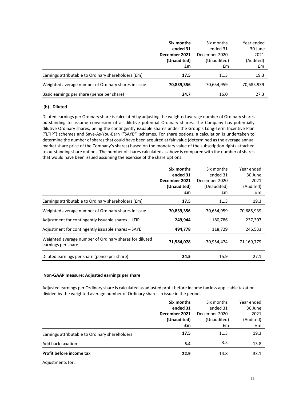|                                                     | Six months    | Six months    | Year ended |
|-----------------------------------------------------|---------------|---------------|------------|
|                                                     | ended 31      | ended 31      | 30 June    |
|                                                     | December 2021 | December 2020 | 2021       |
|                                                     | (Unaudited)   | (Unaudited)   | (Audited)  |
|                                                     | £m            | £m            | £m         |
| Earnings attributable to Ordinary shareholders (£m) | 17.5          | 11.3          | 19.3       |
| Weighted average number of Ordinary shares in issue | 70,839,356    | 70,654,959    | 70,685,939 |
| Basic earnings per share (pence per share)          | 24.7          | 16.0          | 27.3       |

# **(b) Diluted**

Diluted earnings per Ordinary share is calculated by adjusting the weighted average number of Ordinary shares outstanding to assume conversion of all dilutive potential Ordinary shares. The Company has potentially dilutive Ordinary shares, being the contingently issuable shares under the Group's Long-Term Incentive Plan ("LTIP") schemes and Save-As-You-Earn ("SAYE") schemes. For share options, a calculation is undertaken to determine the number of shares that could have been acquired at fair value (determined as the average annual market share price of the Company's shares) based on the monetary value of the subscription rights attached to outstanding share options. The number of shares calculated as above is compared with the number of shares that would have been issued assuming the exercise of the share options.

|                                                                              | Six months    | Six months    | Year ended |
|------------------------------------------------------------------------------|---------------|---------------|------------|
|                                                                              | ended 31      | ended 31      | 30 June    |
|                                                                              | December 2021 | December 2020 | 2021       |
|                                                                              | (Unaudited)   | (Unaudited)   | (Audited)  |
|                                                                              | £m            | £m            | £m         |
| Earnings attributable to Ordinary shareholders (£m)                          | 17.5          | 11.3          | 19.3       |
| Weighted average number of Ordinary shares in issue                          | 70,839,356    | 70,654,959    | 70,685,939 |
| Adjustment for contingently issuable shares - LTIP                           | 249,944       | 180,786       | 237,307    |
| Adjustment for contingently issuable shares - SAYE                           | 494,778       | 118,729       | 246,533    |
| Weighted average number of Ordinary shares for diluted<br>earnings per share | 71,584,078    | 70,954,474    | 71,169,779 |
| Diluted earnings per share (pence per share)                                 | 24.5          | 15.9          | 27.1       |

# **Non-GAAP measure: Adjusted earnings per share**

Adjusted earnings per Ordinary share is calculated as adjusted profit before income tax less applicable taxation divided by the weighted average number of Ordinary shares in issue in the period.

|                                                | Six months    | Six months    | Year ended |
|------------------------------------------------|---------------|---------------|------------|
|                                                | ended 31      | ended 31      | 30 June    |
|                                                | December 2021 | December 2020 | 2021       |
|                                                | (Unaudited)   | (Unaudited)   | (Audited)  |
|                                                | £m            | £m            | £m         |
| Earnings attributable to Ordinary shareholders | 17.5          | 11.3          | 19.3       |
| Add back taxation                              | 5.4           | 3.5           | 13.8       |
| Profit before income tax                       | 22.9          | 14.8          | 33.1       |

Adjustments for: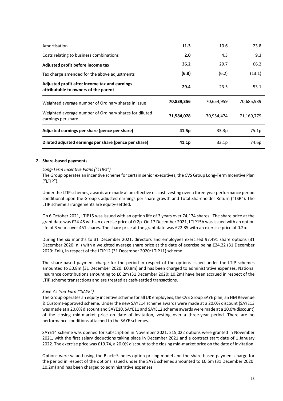| Amortisation                                                                          | 11.3       | 10.6              | 23.8       |
|---------------------------------------------------------------------------------------|------------|-------------------|------------|
| Costs relating to business combinations                                               | 2.0        | 4.3               | 9.3        |
| Adjusted profit before income tax                                                     | 36.2       | 29.7              | 66.2       |
| Tax charge amended for the above adjustments                                          | (6.8)      | (6.2)             | (13.1)     |
| Adjusted profit after income tax and earnings<br>attributable to owners of the parent | 29.4       | 23.5              | 53.1       |
| Weighted average number of Ordinary shares in issue                                   | 70,839,356 | 70,654,959        | 70,685,939 |
| Weighted average number of Ordinary shares for diluted<br>earnings per share          | 71,584,078 | 70,954,474        | 71,169,779 |
| Adjusted earnings per share (pence per share)                                         | 41.5p      | 33.3p             | 75.1p      |
| Diluted adjusted earnings per share (pence per share)                                 | 41.1p      | 33.1 <sub>p</sub> | 74.6p      |

# **7. Share-based payments**

## *Long-Term Incentive Plans ("LTIPs")*

The Group operates an incentive scheme for certain senior executives, the CVS Group Long-Term Incentive Plan ("LTIP").

Under the LTIP schemes, awards are made at an effective nil cost, vesting over a three-year performance period conditional upon the Group's adjusted earnings per share growth and Total Shareholder Return ("TSR"). The LTIP scheme arrangements are equity-settled.

On 6 October 2021, LTIP15 was issued with an option life of 3 years over 74,174 shares. The share price at the grant date was £24.45 with an exercise price of 0.2p. On 17 December 2021, LTIP15b was issued with an option life of 3 years over 451 shares. The share price at the grant date was £22.85 with an exercise price of 0.2p.

During the six months to 31 December 2021, directors and employees exercised 97,491 share options (31 December 2020: nil) with a weighted average share price at the date of exercise being £24.22 (31 December 2020: £nil), in respect of the LTIP12 (31 December 2020: LTIP11) scheme.

The share-based payment charge for the period in respect of the options issued under the LTIP schemes amounted to £0.8m (31 December 2020: £0.8m) and has been charged to administrative expenses. National Insurance contributions amounting to £0.2m (31 December 2020: £0.2m) have been accrued in respect of the LTIP scheme transactions and are treated as cash-settled transactions.

# *Save-As-You-Earn ("SAYE")*

The Group operates an equity incentive scheme for all UK employees, the CVS Group SAYE plan, an HM Revenue & Customs-approved scheme. Under the new SAYE14 scheme awards were made at a 20.0% discount (SAYE13 was made at a 20.0% discount and SAYE10, SAYE11 and SAYE12 scheme awards were made at a 10.0% discount) of the closing mid-market price on date of invitation, vesting over a three-year period. There are no performance conditions attached to the SAYE schemes.

SAYE14 scheme was opened for subscription in November 2021. 215,022 options were granted in November 2021, with the first salary deductions taking place in December 2021 and a contract start date of 1 January 2022. The exercise price was £19.74, a 20.0% discount to the closing mid-market price on the date of invitation.

Options were valued using the Black–Scholes option pricing model and the share-based payment charge for the period in respect of the options issued under the SAYE schemes amounted to £0.5m (31 December 2020: £0.2m) and has been charged to administrative expenses.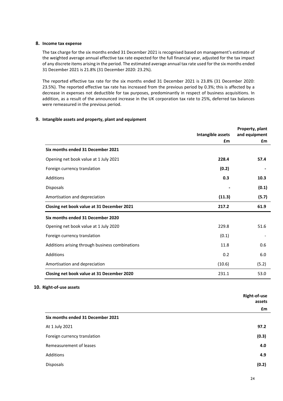## **8. Income tax expense**

The tax charge for the six months ended 31 December 2021 is recognised based on management's estimate of the weighted average annual effective tax rate expected for the full financial year, adjusted for the tax impact of any discrete items arising in the period. The estimated average annual tax rate used for the six months ended 31 December 2021 is 21.8% (31 December 2020: 23.2%).

The reported effective tax rate for the six months ended 31 December 2021 is 23.8% (31 December 2020: 23.5%). The reported effective tax rate has increased from the previous period by 0.3%; this is affected by a decrease in expenses not deductible for tax purposes, predominantly in respect of business acquisitions. In addition, as a result of the announced increase in the UK corporation tax rate to 25%, deferred tax balances were remeasured in the previous period.

# **9. Intangible assets and property, plant and equipment**

|                                                 | Intangible assets | Property, plant<br>and equipment |
|-------------------------------------------------|-------------------|----------------------------------|
|                                                 | £m                | £m                               |
| Six months ended 31 December 2021               |                   |                                  |
| Opening net book value at 1 July 2021           | 228.4             | 57.4                             |
| Foreign currency translation                    | (0.2)             |                                  |
| Additions                                       | 0.3               | 10.3                             |
| Disposals                                       |                   | (0.1)                            |
| Amortisation and depreciation                   | (11.3)            | (5.7)                            |
| Closing net book value at 31 December 2021      | 217.2             | 61.9                             |
| Six months ended 31 December 2020               |                   |                                  |
| Opening net book value at 1 July 2020           | 229.8             | 51.6                             |
| Foreign currency translation                    | (0.1)             |                                  |
| Additions arising through business combinations | 11.8              | 0.6                              |
| <b>Additions</b>                                | 0.2               | 6.0                              |
| Amortisation and depreciation                   | (10.6)            | (5.2)                            |
| Closing net book value at 31 December 2020      | 231.1             | 53.0                             |

### **10. Right-of-use assets**

|                                   | <b>Right-of-use</b><br>assets |
|-----------------------------------|-------------------------------|
|                                   | £m                            |
| Six months ended 31 December 2021 |                               |
| At 1 July 2021                    | 97.2                          |
| Foreign currency translation      | (0.3)                         |
| Remeasurement of leases           | 4.0                           |
| Additions                         | 4.9                           |
| Disposals                         | (0.2)                         |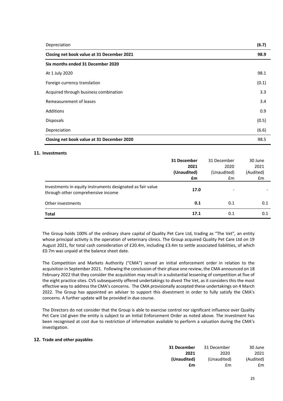| Depreciation                               | (6.7) |
|--------------------------------------------|-------|
| Closing net book value at 31 December 2021 | 98.9  |
| Six months ended 31 December 2020          |       |
| At 1 July 2020                             | 98.1  |
| Foreign currency translation               | (0.1) |
| Acquired through business combination      | 3.3   |
| Remeasurement of leases                    | 3.4   |
| Additions                                  | 0.9   |
| <b>Disposals</b>                           | (0.5) |
| Depreciation                               | (6.6) |
| Closing net book value at 31 December 2020 | 98.5  |

# **11. Investments**

|                                                                                                  | 31 December<br>2021<br>(Unaudited)<br>£m | 31 December<br>2020<br>(Unaudited)<br>£m | 30 June<br>2021<br>(Audited)<br>£m |
|--------------------------------------------------------------------------------------------------|------------------------------------------|------------------------------------------|------------------------------------|
| Investments in equity instruments designated as fair value<br>through other comprehensive income | 17.0                                     |                                          |                                    |
| Other investments                                                                                | 0.1                                      | 0.1                                      | 0.1                                |
| <b>Total</b>                                                                                     | 17.1                                     | 0.1                                      | 0.1                                |

The Group holds 100% of the ordinary share capital of Quality Pet Care Ltd, trading as "The Vet", an entity whose principal activity is the operation of veterinary clinics. The Group acquired Quality Pet Care Ltd on 19 August 2021, for total cash consideration of £20.4m, including £3.4m to settle associated liabilities, of which £0.7m was unpaid at the balance sheet date.

The Competition and Markets Authority ("CMA") served an initial enforcement order in relation to the acquisition in September 2021. Following the conclusion of their phase one review, the CMA announced on 18 February 2022 that they consider the acquisition may result in a substantial lessening of competition at five of the eight practice sites. CVS subsequently offered undertakings to divest The Vet, as it considers this the most effective way to address the CMA's concerns. The CMA provisionally accepted these undertakings on 4 March 2022. The Group has appointed an adviser to support this divestment in order to fully satisfy the CMA's concerns. A further update will be provided in due course.

The Directors do not consider that the Group is able to exercise control nor significant influence over Quality Pet Care Ltd given the entity is subject to an Initial Enforcement Order as noted above. The investment has been recognised at cost due to restriction of information available to perform a valuation during the CMA's investigation.

# **12. Trade and other payables**

| 31 December | 31 December | 30 June   |
|-------------|-------------|-----------|
| 2021        | 2020        | 2021      |
| (Unaudited) | (Unaudited) | (Audited) |
| £m          | fm          | fm        |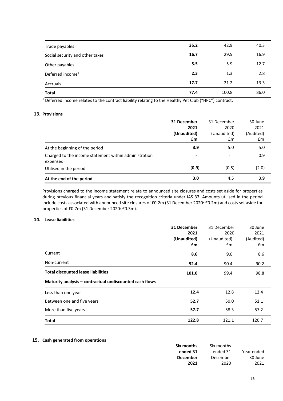| Trade payables                  | 35.2 | 42.9  | 40.3 |
|---------------------------------|------|-------|------|
| Social security and other taxes | 16.7 | 29.5  | 16.9 |
| Other payables                  | 5.5  | 5.9   | 12.7 |
| Deferred income <sup>1</sup>    | 2.3  | 1.3   | 2.8  |
| Accruals                        | 17.7 | 21.2  | 13.3 |
| <b>Total</b>                    | 77.4 | 100.8 | 86.0 |

<sup>1</sup> Deferred income relates to the contract liability relating to the Healthy Pet Club ("HPC") contract.

# **13. Provisions**

|                                                                   | 31 December              | 31 December              | 30 June   |
|-------------------------------------------------------------------|--------------------------|--------------------------|-----------|
|                                                                   | 2021                     | 2020                     | 2021      |
|                                                                   | (Unaudited)              | (Unaudited)              | (Audited) |
|                                                                   | £m                       | £m                       | £m        |
| At the beginning of the period                                    | 3.9                      | 5.0                      | 5.0       |
| Charged to the income statement within administration<br>expenses | $\overline{\phantom{a}}$ | $\overline{\phantom{0}}$ | 0.9       |
| Utilised in the period                                            | (0.9)                    | (0.5)                    | (2.0)     |
| At the end of the period                                          | 3.0                      | 4.5                      | 3.9       |

Provisions charged to the income statement relate to announced site closures and costs set aside for properties during previous financial years and satisfy the recognition criteria under IAS 37. Amounts utilised in the period include costs associated with announced site closures of £0.2m (31 December 2020: £0.2m) and costs set aside for properties of £0.7m (31 December 2020: £0.3m).

### **14. Lease liabilities**

|                                                         | 31 December | 31 December | 30 June   |
|---------------------------------------------------------|-------------|-------------|-----------|
|                                                         | 2021        | 2020        | 2021      |
|                                                         | (Unaudited) | (Unaudited) | (Audited) |
|                                                         | £m          | £m          | £m        |
| Current                                                 | 8.6         | 9.0         | 8.6       |
| Non-current                                             | 92.4        | 90.4        | 90.2      |
| <b>Total discounted lease liabilities</b>               | 101.0       | 99.4        | 98.8      |
| Maturity analysis - contractual undiscounted cash flows |             |             |           |
| Less than one year                                      | 12.4        | 12.8        | 12.4      |
| Between one and five years                              | 52.7        | 50.0        | 51.1      |
| More than five years                                    | 57.7        | 58.3        | 57.2      |
| <b>Total</b>                                            | 122.8       | 121.1       | 120.7     |

## **15. Cash generated from operations**

| Six months      | Six months |            |
|-----------------|------------|------------|
| ended 31        | ended 31   | Year ended |
| <b>December</b> | December   | 30 June    |
| 2021            | 2020       | 2021       |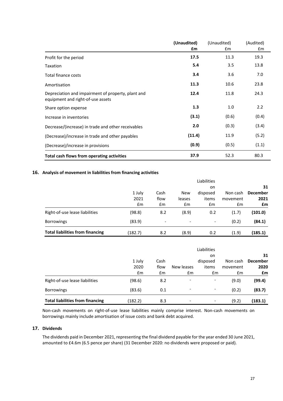|                                                                                         | (Unaudited)<br>£m | (Unaudited)<br>£m | (Audited)<br>£m |
|-----------------------------------------------------------------------------------------|-------------------|-------------------|-----------------|
| Profit for the period                                                                   | 17.5              | 11.3              | 19.3            |
| <b>Taxation</b>                                                                         | 5.4               | 3.5               | 13.8            |
| Total finance costs                                                                     | 3.4               | 3.6               | 7.0             |
| Amortisation                                                                            | 11.3              | 10.6              | 23.8            |
| Depreciation and impairment of property, plant and<br>equipment and right-of-use assets | 12.4              | 11.8              | 24.3            |
| Share option expense                                                                    | 1.3               | 1.0               | 2.2             |
| Increase in inventories                                                                 | (3.1)             | (0.6)             | (0.4)           |
| Decrease/(increase) in trade and other receivables                                      | 2.0               | (0.3)             | (3.4)           |
| (Decrease)/increase in trade and other payables                                         | (11.4)            | 11.9              | (5.2)           |
| (Decrease)/increase in provisions                                                       | (0.9)             | (0.5)             | (1.1)           |
| Total cash flows from operating activities                                              | 37.9              | 52.3              | 80.3            |

# **16. Analysis of movement in liabilities from financing activities**

|                                         |         |      |            | Liabilities |          |                 |
|-----------------------------------------|---------|------|------------|-------------|----------|-----------------|
|                                         |         |      |            | on.         |          | 31              |
|                                         | 1 July  | Cash | <b>New</b> | disposed    | Non cash | <b>December</b> |
|                                         | 2021    | flow | leases     | items       | movement | 2021            |
|                                         | £m      | £m   | £m         | £m          | £m       | £m              |
| Right-of-use lease liabilities          | (98.8)  | 8.2  | (8.9)      | 0.2         | (1.7)    | (101.0)         |
| <b>Borrowings</b>                       | (83.9)  | -    | -          | -           | (0.2)    | (84.1)          |
| <b>Total liabilities from financing</b> | (182.7) | 8.2  | (8.9)      | 0.2         | (1.9)    | (185.1)         |

|                                         |               |      |                          | Liabilities |          |                 |
|-----------------------------------------|---------------|------|--------------------------|-------------|----------|-----------------|
|                                         |               |      |                          | on.         |          | 31              |
|                                         | 1 July        | Cash |                          | disposed    | Non cash | <b>December</b> |
|                                         | 2020          | flow | New leases               | items       | movement | 2020            |
|                                         | $\mathsf{fm}$ | £m   | £m                       | £m          | £m       | £m              |
| Right-of-use lease liabilities          | (98.6)        | 8.2  | $\overline{\phantom{a}}$ | ۰           | (9.0)    | (99.4)          |
| <b>Borrowings</b>                       | (83.6)        | 0.1  | -                        | ۰           | (0.2)    | (83.7)          |
| <b>Total liabilities from financing</b> | (182.2)       | 8.3  | -                        | -           | (9.2)    | (183.1)         |

Non-cash movements on right-of-use lease liabilities mainly comprise interest. Non-cash movements on borrowings mainly include amortisation of issue costs and bank debt acquired.

# **17. Dividends**

The dividends paid in December 2021, representing the final dividend payable for the year ended 30 June 2021, amounted to £4.6m (6.5 pence per share) (31 December 2020: no dividends were proposed or paid).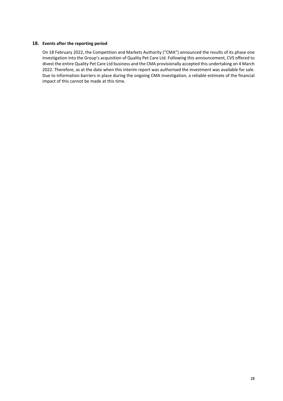## **18. Events after the reporting period**

On 18 February 2022, the Competition and Markets Authority ("CMA") announced the results of its phase one investigation into the Group's acquisition of Quality Pet Care Ltd. Following this announcement, CVS offered to divest the entire Quality Pet Care Ltd business and the CMA provisionally accepted this undertaking on 4 March 2022. Therefore, as at the date when this interim report was authorised the investment was available for sale. Due to information barriers in place during the ongoing CMA investigation, a reliable estimate of the financial impact of this cannot be made at this time.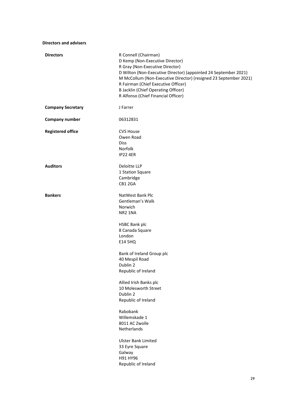| <b>Directors and advisers</b> |                                                                                                                                                                                                                                                                                                                                                                                    |
|-------------------------------|------------------------------------------------------------------------------------------------------------------------------------------------------------------------------------------------------------------------------------------------------------------------------------------------------------------------------------------------------------------------------------|
| <b>Directors</b>              | R Connell (Chairman)<br>D Kemp (Non-Executive Director)<br>R Gray (Non-Executive Director)<br>D Wilton (Non-Executive Director) (appointed 24 September 2021)<br>M McCollum (Non-Executive Director) (resigned 23 September 2021)<br>R Fairman (Chief Executive Officer)<br><b>B Jacklin (Chief Operating Officer)</b><br>R Alfonso (Chief Financial Officer)                      |
| <b>Company Secretary</b>      | J Farrer                                                                                                                                                                                                                                                                                                                                                                           |
| <b>Company number</b>         | 06312831                                                                                                                                                                                                                                                                                                                                                                           |
| <b>Registered office</b>      | <b>CVS House</b><br>Owen Road<br><b>Diss</b><br>Norfolk<br><b>IP22 4ER</b>                                                                                                                                                                                                                                                                                                         |
| <b>Auditors</b>               | Deloitte LLP<br>1 Station Square<br>Cambridge<br>CB1 2GA                                                                                                                                                                                                                                                                                                                           |
| <b>Bankers</b>                | NatWest Bank Plc<br>Gentleman's Walk<br>Norwich<br>NR <sub>2</sub> 1NA<br><b>HSBC Bank plc</b><br>8 Canada Square<br>London<br><b>E14 5HQ</b><br>Bank of Ireland Group plc<br>40 Mespil Road<br>Dublin 2<br>Republic of Ireland<br>Allied Irish Banks plc<br>10 Molesworth Street<br>Dublin 2<br>Republic of Ireland<br>Rabobank<br>Willemskade 1<br>8011 AC Zwolle<br>Netherlands |
|                               | <b>Ulster Bank Limited</b><br>33 Eyre Square<br>Galway<br>H91 HY96<br>Republic of Ireland                                                                                                                                                                                                                                                                                          |